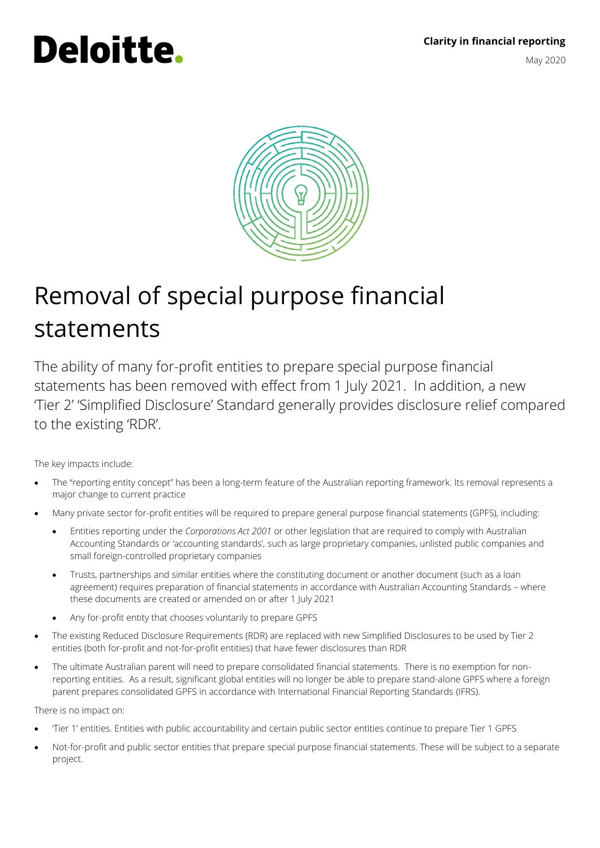# **Clarity in financial reporting** May 2020

# Deloitte.



# Removal of special purpose financial statements

The ability of many for-profit entities to prepare special purpose financial statements has been removed with effect from 1 July 2021. In addition, a new 'Tier 2' 'Simplified Disclosure' Standard generally provides disclosure relief compared to the existing 'RDR'.

The key impacts include:

- The "reporting entity concept" has been a long-term feature of the Australian reporting framework. Its removal represents a major change to current practice
- Many private sector for-profit entities will be required to prepare general purpose financial statements (GPFS), including:
	- Entities reporting under the *Corporations Act 2001* or other legislation that are required to comply with Australian Accounting Standards or 'accounting standards', such as large proprietary companies, unlisted public companies and small foreign-controlled proprietary companies
	- Trusts, partnerships and similar entities where the constituting document or another document (such as a loan agreement) requires preparation of financial statements in accordance with Australian Accounting Standards – where these documents are created or amended on or after 1 July 2021
	- Any for-profit entity that chooses voluntarily to prepare GPFS
- The existing Reduced Disclosure Requirements (RDR) are replaced with new Simplified Disclosures to be used by Tier 2 entities (both for-profit and not-for-profit entities) that have fewer disclosures than RDR
- The ultimate Australian parent will need to prepare consolidated financial statements. There is no exemption for nonreporting entities. As a result, significant global entities will no longer be able to prepare stand-alone GPFS where a foreign parent prepares consolidated GPFS in accordance with International Financial Reporting Standards (IFRS).

There is no impact on:

- 'Tier 1' entities. Entities with public accountability and certain public sector entities continue to prepare Tier 1 GPFS
- Not-for-profit and public sector entities that prepare special purpose financial statements. These will be subject to a separate project.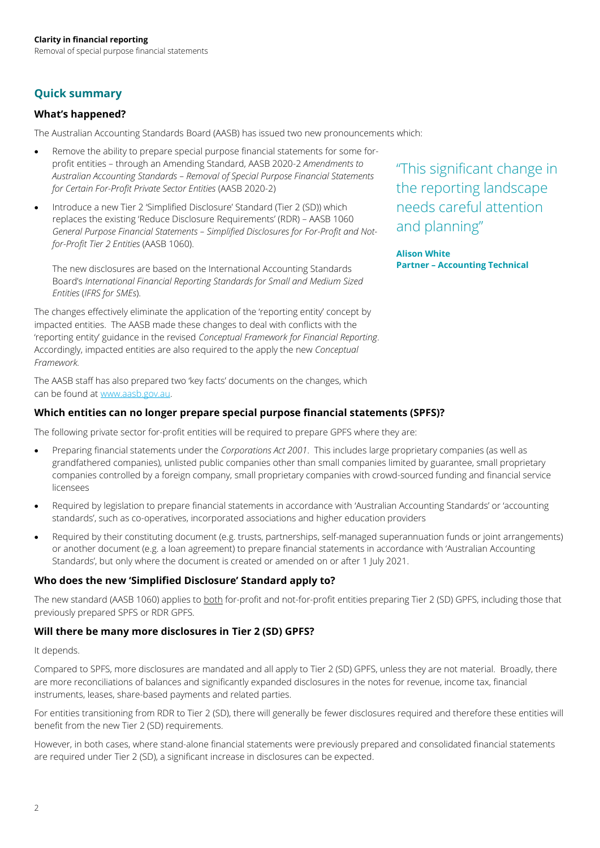# **Quick summary**

# **What's happened?**

The Australian Accounting Standards Board (AASB) has issued two new pronouncements which:

- Remove the ability to prepare special purpose financial statements for some forprofit entities – through an Amending Standard, AASB 2020-2 *Amendments to Australian Accounting Standards – Removal of Special Purpose Financial Statements for Certain For-Profit Private Sector Entities* (AASB 2020-2)
- Introduce a new Tier 2 'Simplified Disclosure' Standard (Tier 2 (SD)) which replaces the existing 'Reduce Disclosure Requirements' (RDR) – AASB 1060 *General Purpose Financial Statements – Simplified Disclosures for For-Profit and Notfor-Profit Tier 2 Entities* (AASB 1060).

The new disclosures are based on the International Accounting Standards Board's *International Financial Reporting Standards for Small and Medium Sized Entities* (*IFRS for SMEs*).

The changes effectively eliminate the application of the 'reporting entity' concept by impacted entities. The AASB made these changes to deal with conflicts with the 'reporting entity' guidance in the revised *Conceptual Framework for Financial Reporting*. Accordingly, impacted entities are also required to the apply the new *Conceptual Framework.*

The AASB staff has also prepared two 'key facts' documents on the changes, which can be found a[t www.aasb.gov.au.](https://www.aasb.gov.au/admin/file/content102/c3/AASB1060_KeyFacts_03-20_1585193851825.pdf)

# **Which entities can no longer prepare special purpose financial statements (SPFS)?**

The following private sector for-profit entities will be required to prepare GPFS where they are:

- Preparing financial statements under the *Corporations Act 2001*. This includes large proprietary companies (as well as grandfathered companies), unlisted public companies other than small companies limited by guarantee, small proprietary companies controlled by a foreign company, small proprietary companies with crowd-sourced funding and financial service licensees
- Required by legislation to prepare financial statements in accordance with 'Australian Accounting Standards' or 'accounting standards', such as co-operatives, incorporated associations and higher education providers
- Required by their constituting document (e.g. trusts, partnerships, self-managed superannuation funds or joint arrangements) or another document (e.g. a loan agreement) to prepare financial statements in accordance with 'Australian Accounting Standards', but only where the document is created or amended on or after 1 July 2021.

# **Who does the new 'Simplified Disclosure' Standard apply to?**

The new standard (AASB 1060) applies to both for-profit and not-for-profit entities preparing Tier 2 (SD) GPFS, including those that previously prepared SPFS or RDR GPFS.

# **Will there be many more disclosures in Tier 2 (SD) GPFS?**

# It depends.

Compared to SPFS, more disclosures are mandated and all apply to Tier 2 (SD) GPFS, unless they are not material. Broadly, there are more reconciliations of balances and significantly expanded disclosures in the notes for revenue, income tax, financial instruments, leases, share-based payments and related parties.

For entities transitioning from RDR to Tier 2 (SD), there will generally be fewer disclosures required and therefore these entities will benefit from the new Tier 2 (SD) requirements.

However, in both cases, where stand-alone financial statements were previously prepared and consolidated financial statements are required under Tier 2 (SD), a significant increase in disclosures can be expected.

"This significant change in the reporting landscape needs careful attention and planning"

**Alison White Partner – Accounting Technical**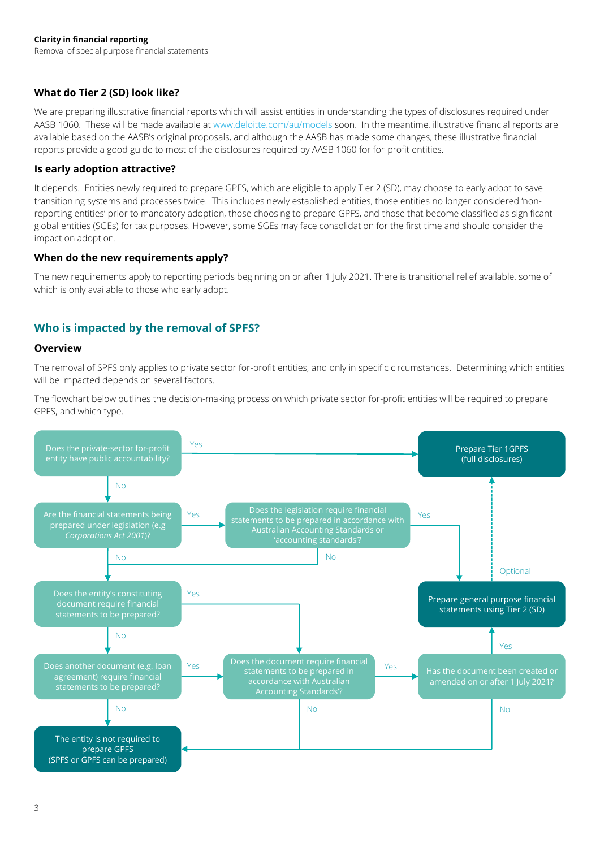# **What do Tier 2 (SD) look like?**

We are preparing illustrative financial reports which will assist entities in understanding the types of disclosures required under AASB 1060. These will be made available a[t www.deloitte.com/au/models](http://www.deloitte.com/au/models) soon. In the meantime, illustrative financial reports are available based on the AASB's original proposals, and although the AASB has made some changes, these illustrative financial reports provide a good guide to most of the disclosures required by AASB 1060 for for-profit entities.

# **Is early adoption attractive?**

It depends. Entities newly required to prepare GPFS, which are eligible to apply Tier 2 (SD), may choose to early adopt to save transitioning systems and processes twice. This includes newly established entities, those entities no longer considered 'nonreporting entities' prior to mandatory adoption, those choosing to prepare GPFS, and those that become classified as significant global entities (SGEs) for tax purposes. However, some SGEs may face consolidation for the first time and should consider the impact on adoption.

# **When do the new requirements apply?**

The new requirements apply to reporting periods beginning on or after 1 July 2021. There is transitional relief available, some of which is only available to those who early adopt.

# **Who is impacted by the removal of SPFS?**

# **Overview**

The removal of SPFS only applies to private sector for-profit entities, and only in specific circumstances. Determining which entities will be impacted depends on several factors.

The flowchart below outlines the decision-making process on which private sector for-profit entities will be required to prepare GPFS, and which type.

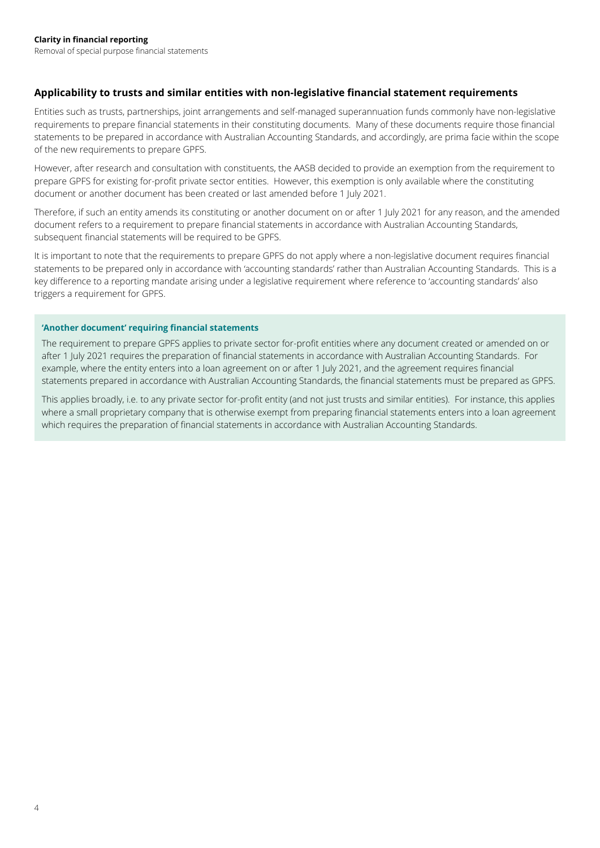# **Applicability to trusts and similar entities with non-legislative financial statement requirements**

Entities such as trusts, partnerships, joint arrangements and self-managed superannuation funds commonly have non-legislative requirements to prepare financial statements in their constituting documents. Many of these documents require those financial statements to be prepared in accordance with Australian Accounting Standards, and accordingly, are prima facie within the scope of the new requirements to prepare GPFS.

However, after research and consultation with constituents, the AASB decided to provide an exemption from the requirement to prepare GPFS for existing for-profit private sector entities. However, this exemption is only available where the constituting document or another document has been created or last amended before 1 July 2021.

Therefore, if such an entity amends its constituting or another document on or after 1 July 2021 for any reason, and the amended document refers to a requirement to prepare financial statements in accordance with Australian Accounting Standards, subsequent financial statements will be required to be GPFS.

It is important to note that the requirements to prepare GPFS do not apply where a non-legislative document requires financial statements to be prepared only in accordance with 'accounting standards' rather than Australian Accounting Standards. This is a key difference to a reporting mandate arising under a legislative requirement where reference to 'accounting standards' also triggers a requirement for GPFS.

## **'Another document' requiring financial statements**

The requirement to prepare GPFS applies to private sector for-profit entities where any document created or amended on or after 1 July 2021 requires the preparation of financial statements in accordance with Australian Accounting Standards. For example, where the entity enters into a loan agreement on or after 1 July 2021, and the agreement requires financial statements prepared in accordance with Australian Accounting Standards, the financial statements must be prepared as GPFS.

This applies broadly, i.e. to any private sector for-profit entity (and not just trusts and similar entities). For instance, this applies where a small proprietary company that is otherwise exempt from preparing financial statements enters into a loan agreement which requires the preparation of financial statements in accordance with Australian Accounting Standards.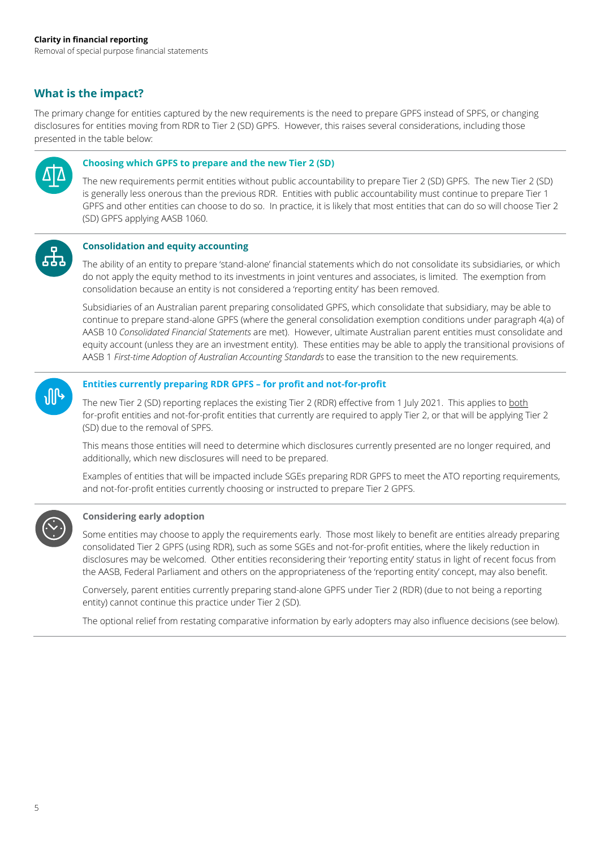# **What is the impact?**

The primary change for entities captured by the new requirements is the need to prepare GPFS instead of SPFS, or changing disclosures for entities moving from RDR to Tier 2 (SD) GPFS. However, this raises several considerations, including those presented in the table below:



#### **Choosing which GPFS to prepare and the new Tier 2 (SD)**

The new requirements permit entities without public accountability to prepare Tier 2 (SD) GPFS. The new Tier 2 (SD) is generally less onerous than the previous RDR. Entities with public accountability must continue to prepare Tier 1 GPFS and other entities can choose to do so. In practice, it is likely that most entities that can do so will choose Tier 2 (SD) GPFS applying AASB 1060.



## **Consolidation and equity accounting**

The ability of an entity to prepare 'stand-alone' financial statements which do not consolidate its subsidiaries, or which do not apply the equity method to its investments in joint ventures and associates, is limited. The exemption from consolidation because an entity is not considered a 'reporting entity' has been removed.

Subsidiaries of an Australian parent preparing consolidated GPFS, which consolidate that subsidiary, may be able to continue to prepare stand-alone GPFS (where the general consolidation exemption conditions under paragraph 4(a) of AASB 10 *Consolidated Financial Statements* are met). However, ultimate Australian parent entities must consolidate and equity account (unless they are an investment entity). These entities may be able to apply the transitional provisions of AASB 1 *First-time Adoption of Australian Accounting Standards* to ease the transition to the new requirements.



## **Entities currently preparing RDR GPFS – for profit and not-for-profit**

The new Tier 2 (SD) reporting replaces the existing Tier 2 (RDR) effective from 1 July 2021. This applies to both for-profit entities and not-for-profit entities that currently are required to apply Tier 2, or that will be applying Tier 2 (SD) due to the removal of SPFS.

This means those entities will need to determine which disclosures currently presented are no longer required, and additionally, which new disclosures will need to be prepared.

Examples of entities that will be impacted include SGEs preparing RDR GPFS to meet the ATO reporting requirements, and not-for-profit entities currently choosing or instructed to prepare Tier 2 GPFS.



#### **Considering early adoption**

Some entities may choose to apply the requirements early. Those most likely to benefit are entities already preparing consolidated Tier 2 GPFS (using RDR), such as some SGEs and not-for-profit entities, where the likely reduction in disclosures may be welcomed. Other entities reconsidering their 'reporting entity' status in light of recent focus from the AASB, Federal Parliament and others on the appropriateness of the 'reporting entity' concept, may also benefit.

Conversely, parent entities currently preparing stand-alone GPFS under Tier 2 (RDR) (due to not being a reporting entity) cannot continue this practice under Tier 2 (SD).

The optional relief from restating comparative information by early adopters may also influence decisions (see below).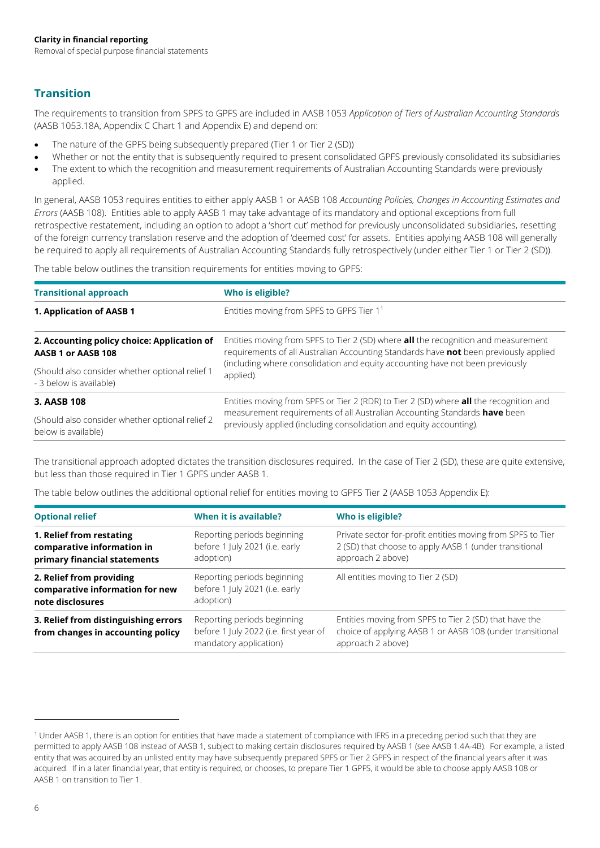# **Transition**

The requirements to transition from SPFS to GPFS are included in AASB 1053 *Application of Tiers of Australian Accounting Standards*  (AASB 1053.18A, Appendix C Chart 1 and Appendix E) and depend on:

- The nature of the GPFS being subsequently prepared (Tier 1 or Tier 2 (SD))
- Whether or not the entity that is subsequently required to present consolidated GPFS previously consolidated its subsidiaries
- The extent to which the recognition and measurement requirements of Australian Accounting Standards were previously applied.

In general, AASB 1053 requires entities to either apply AASB 1 or AASB 108 *Accounting Policies, Changes in Accounting Estimates and Errors* (AASB 108). Entities able to apply AASB 1 may take advantage of its mandatory and optional exceptions from full retrospective restatement, including an option to adopt a 'short cut' method for previously unconsolidated subsidiaries, resetting of the foreign currency translation reserve and the adoption of 'deemed cost' for assets. Entities applying AASB 108 will generally be required to apply all requirements of Australian Accounting Standards fully retrospectively (under either Tier 1 or Tier 2 (SD)).

The table below outlines the transition requirements for entities moving to GPFS:

| <b>Transitional approach</b>                    | Who is eligible?                                                                              |  |  |  |  |  |
|-------------------------------------------------|-----------------------------------------------------------------------------------------------|--|--|--|--|--|
| 1. Application of AASB 1                        | Entities moving from SPFS to GPFS Tier 1 <sup>1</sup>                                         |  |  |  |  |  |
| 2. Accounting policy choice: Application of     | Entities moving from SPFS to Tier 2 (SD) where <b>all</b> the recognition and measurement     |  |  |  |  |  |
| AASB 1 or AASB 108                              | requirements of all Australian Accounting Standards have not been previously applied          |  |  |  |  |  |
| (Should also consider whether optional relief 1 | (including where consolidation and equity accounting have not been previously                 |  |  |  |  |  |
| - 3 below is available)                         | applied).                                                                                     |  |  |  |  |  |
| 3. AASB 108                                     | Entities moving from SPFS or Tier 2 (RDR) to Tier 2 (SD) where <b>all</b> the recognition and |  |  |  |  |  |
| (Should also consider whether optional relief 2 | measurement requirements of all Australian Accounting Standards have been                     |  |  |  |  |  |
| below is available)                             | previously applied (including consolidation and equity accounting).                           |  |  |  |  |  |

The transitional approach adopted dictates the transition disclosures required. In the case of Tier 2 (SD), these are quite extensive, but less than those required in Tier 1 GPFS under AASB 1.

The table below outlines the additional optional relief for entities moving to GPFS Tier 2 (AASB 1053 Appendix E):

| <b>Optional relief</b>                                                                 | When it is available?                                                                           | Who is eligible?                                                                                                                           |
|----------------------------------------------------------------------------------------|-------------------------------------------------------------------------------------------------|--------------------------------------------------------------------------------------------------------------------------------------------|
| 1. Relief from restating<br>comparative information in<br>primary financial statements | Reporting periods beginning<br>before 1 July 2021 (i.e. early<br>adoption)                      | Private sector for-profit entities moving from SPFS to Tier<br>2 (SD) that choose to apply AASB 1 (under transitional<br>approach 2 above) |
| 2. Relief from providing<br>comparative information for new<br>note disclosures        | Reporting periods beginning<br>before 1 July 2021 (i.e. early<br>adoption)                      | All entities moving to Tier 2 (SD)                                                                                                         |
| 3. Relief from distinguishing errors<br>from changes in accounting policy              | Reporting periods beginning<br>before 1 July 2022 (i.e. first year of<br>mandatory application) | Entities moving from SPFS to Tier 2 (SD) that have the<br>choice of applying AASB 1 or AASB 108 (under transitional<br>approach 2 above)   |

<sup>&</sup>lt;sup>1</sup> Under AASB 1, there is an option for entities that have made a statement of compliance with IFRS in a preceding period such that they are permitted to apply AASB 108 instead of AASB 1, subject to making certain disclosures required by AASB 1 (see AASB 1.4A-4B). For example, a listed entity that was acquired by an unlisted entity may have subsequently prepared SPFS or Tier 2 GPFS in respect of the financial years after it was acquired. If in a later financial year, that entity is required, or chooses, to prepare Tier 1 GPFS, it would be able to choose apply AASB 108 or AASB 1 on transition to Tier 1.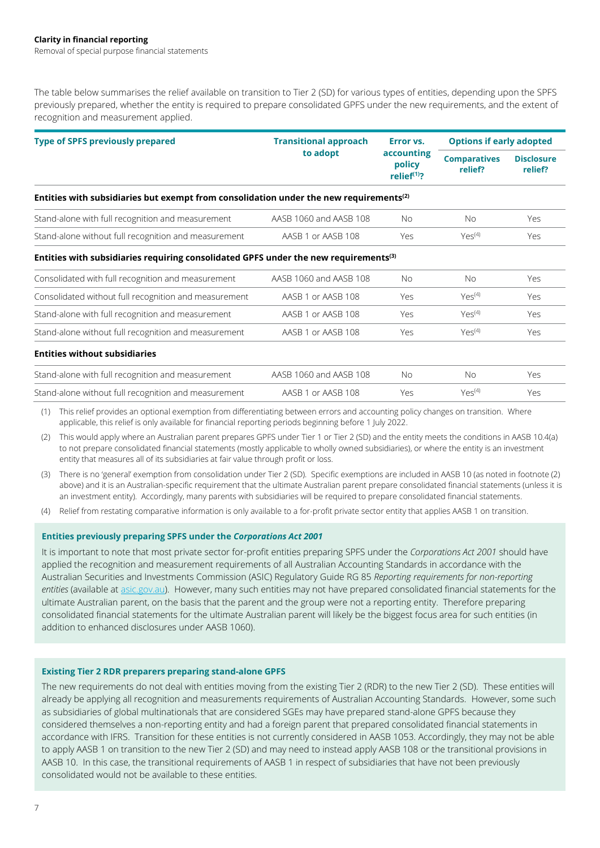The table below summarises the relief available on transition to Tier 2 (SD) for various types of entities, depending upon the SPFS previously prepared, whether the entity is required to prepare consolidated GPFS under the new requirements, and the extent of recognition and measurement applied.

| <b>Type of SPFS previously prepared</b>                                                            | <b>Transitional approach</b> | Error vs.<br>accounting<br>policy<br>relief $(1)$ ? | <b>Options if early adopted</b> |                              |
|----------------------------------------------------------------------------------------------------|------------------------------|-----------------------------------------------------|---------------------------------|------------------------------|
|                                                                                                    | to adopt                     |                                                     | <b>Comparatives</b><br>relief?  | <b>Disclosure</b><br>relief? |
| Entities with subsidiaries but exempt from consolidation under the new requirements <sup>(2)</sup> |                              |                                                     |                                 |                              |

| Stand-alone with full recognition and measurement    | AASB 1060 and AASB 108 | No. | No.                    | Yes |
|------------------------------------------------------|------------------------|-----|------------------------|-----|
| Stand-alone without full recognition and measurement | AASB 1 or AASB 108     | Yes | $Y\rho\varsigma^{(4)}$ | Yes |

#### **Entities with subsidiaries requiring consolidated GPFS under the new requirements(3)**

| Consolidated with full recognition and measurement    | AASB 1060 and AASB 108 | Nο  | Nο                     | Yes |
|-------------------------------------------------------|------------------------|-----|------------------------|-----|
| Consolidated without full recognition and measurement | AASB 1 or AASB 108     | Yes | $Y\rho\varsigma^{(4)}$ | Yes |
| Stand-alone with full recognition and measurement     | AASB 1 or AASB 108     | Yρς | $Y\rho\varsigma^{(4)}$ | Yes |
| Stand-alone without full recognition and measurement  | AASB 1 or AASB 108     | Yρς | $Y\rho\varsigma^{(4)}$ | Yes |

#### **Entities without subsidiaries**

| Stand-alone with full recognition and measurement    | AASB 1060 and AASB 108 | No. | No.                        | Yes |
|------------------------------------------------------|------------------------|-----|----------------------------|-----|
| Stand-alone without full recognition and measurement | AASB 1 or AASB 108     | Yρς | $Y\square \varsigma^{(4)}$ | Yes |

(1) This relief provides an optional exemption from differentiating between errors and accounting policy changes on transition. Where applicable, this relief is only available for financial reporting periods beginning before 1 July 2022.

(2) This would apply where an Australian parent prepares GPFS under Tier 1 or Tier 2 (SD) and the entity meets the conditions in AASB 10.4(a) to not prepare consolidated financial statements (mostly applicable to wholly owned subsidiaries), or where the entity is an investment entity that measures all of its subsidiaries at fair value through profit or loss.

(3) There is no 'general' exemption from consolidation under Tier 2 (SD). Specific exemptions are included in AASB 10 (as noted in footnote (2) above) and it is an Australian-specific requirement that the ultimate Australian parent prepare consolidated financial statements (unless it is an investment entity). Accordingly, many parents with subsidiaries will be required to prepare consolidated financial statements.

(4) Relief from restating comparative information is only available to a for-profit private sector entity that applies AASB 1 on transition.

#### **Entities previously preparing SPFS under the** *Corporations Act 2001*

It is important to note that most private sector for-profit entities preparing SPFS under the *Corporations Act 2001* should have applied the recognition and measurement requirements of all Australian Accounting Standards in accordance with the Australian Securities and Investments Commission (ASIC) Regulatory Guide RG 85 *Reporting requirements for non-reporting entities* (available at [asic.gov.au\)](https://asic.gov.au/regulatory-resources/find-a-document/regulatory-guides/rg-85-reporting-requirements-for-non-reporting-entities/). However, many such entities may not have prepared consolidated financial statements for the ultimate Australian parent, on the basis that the parent and the group were not a reporting entity. Therefore preparing consolidated financial statements for the ultimate Australian parent will likely be the biggest focus area for such entities (in addition to enhanced disclosures under AASB 1060).

#### **Existing Tier 2 RDR preparers preparing stand-alone GPFS**

The new requirements do not deal with entities moving from the existing Tier 2 (RDR) to the new Tier 2 (SD). These entities will already be applying all recognition and measurements requirements of Australian Accounting Standards. However, some such as subsidiaries of global multinationals that are considered SGEs may have prepared stand-alone GPFS because they considered themselves a non-reporting entity and had a foreign parent that prepared consolidated financial statements in accordance with IFRS. Transition for these entities is not currently considered in AASB 1053. Accordingly, they may not be able to apply AASB 1 on transition to the new Tier 2 (SD) and may need to instead apply AASB 108 or the transitional provisions in AASB 10. In this case, the transitional requirements of AASB 1 in respect of subsidiaries that have not been previously consolidated would not be available to these entities.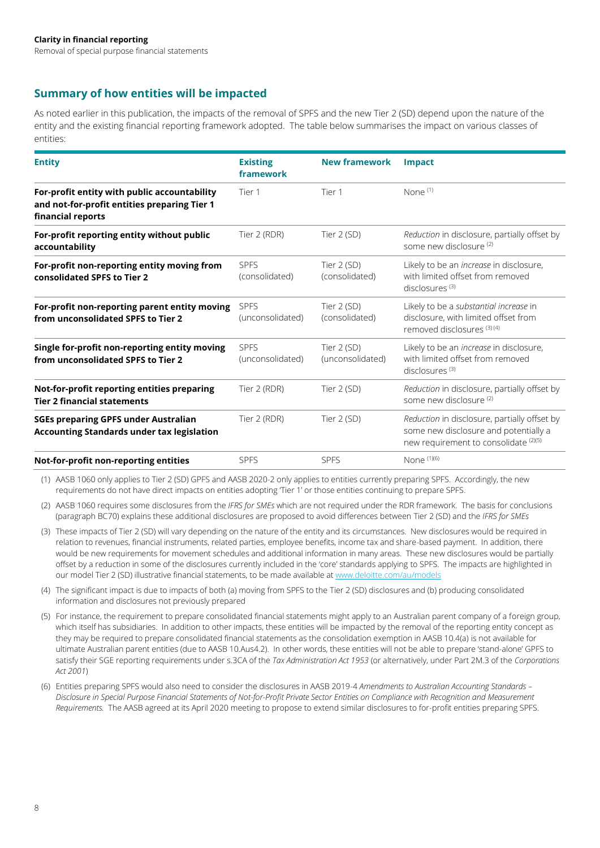# **Summary of how entities will be impacted**

As noted earlier in this publication, the impacts of the removal of SPFS and the new Tier 2 (SD) depend upon the nature of the entity and the existing financial reporting framework adopted. The table below summarises the impact on various classes of entities:

| <b>Entity</b>                                                                                                     | <b>Existing</b><br>framework    | <b>New framework</b>            | <b>Impact</b>                                                                                                                  |
|-------------------------------------------------------------------------------------------------------------------|---------------------------------|---------------------------------|--------------------------------------------------------------------------------------------------------------------------------|
| For-profit entity with public accountability<br>and not-for-profit entities preparing Tier 1<br>financial reports | Tier 1                          | Tier 1                          | None $(1)$                                                                                                                     |
| For-profit reporting entity without public<br>accountability                                                      | Tier 2 (RDR)                    | Tier 2 (SD)                     | Reduction in disclosure, partially offset by<br>some new disclosure (2)                                                        |
| For-profit non-reporting entity moving from<br>consolidated SPFS to Tier 2                                        | <b>SPES</b><br>(consolidated)   | Tier 2 (SD)<br>(consolidated)   | Likely to be an increase in disclosure,<br>with limited offset from removed<br>$disclosures$ <sup>(3)</sup>                    |
| For-profit non-reporting parent entity moving<br>from unconsolidated SPFS to Tier 2                               | <b>SPFS</b><br>(unconsolidated) | Tier 2 (SD)<br>(consolidated)   | Likely to be a substantial increase in<br>disclosure, with limited offset from<br>removed disclosures <sup>(3)(4)</sup>        |
| Single for-profit non-reporting entity moving<br>from unconsolidated SPFS to Tier 2                               | <b>SPFS</b><br>(unconsolidated) | Tier 2 (SD)<br>(unconsolidated) | Likely to be an <i>increase</i> in disclosure,<br>with limited offset from removed<br>disclosures $(3)$                        |
| Not-for-profit reporting entities preparing<br><b>Tier 2 financial statements</b>                                 | Tier 2 (RDR)                    | Tier 2 (SD)                     | Reduction in disclosure, partially offset by<br>some new disclosure (2)                                                        |
| <b>SGEs preparing GPFS under Australian</b><br><b>Accounting Standards under tax legislation</b>                  | Tier 2 (RDR)                    | Tier 2 (SD)                     | Reduction in disclosure, partially offset by<br>some new disclosure and potentially a<br>new requirement to consolidate (2)(5) |
| Not-for-profit non-reporting entities                                                                             | <b>SPFS</b>                     | <b>SPFS</b>                     | None $(1)(6)$                                                                                                                  |

(1) AASB 1060 only applies to Tier 2 (SD) GPFS and AASB 2020-2 only applies to entities currently preparing SPFS. Accordingly, the new requirements do not have direct impacts on entities adopting 'Tier 1' or those entities continuing to prepare SPFS.

(2) AASB 1060 requires some disclosures from the *IFRS for SMEs* which are not required under the RDR framework. The basis for conclusions (paragraph BC70) explains these additional disclosures are proposed to avoid differences between Tier 2 (SD) and the *IFRS for SMEs*

- (3) These impacts of Tier 2 (SD) will vary depending on the nature of the entity and its circumstances. New disclosures would be required in relation to revenues, financial instruments, related parties, employee benefits, income tax and share-based payment. In addition, there would be new requirements for movement schedules and additional information in many areas. These new disclosures would be partially offset by a reduction in some of the disclosures currently included in the 'core' standards applying to SPFS. The impacts are highlighted in our model Tier 2 (SD) illustrative financial statements, to be made available a[t www.deloitte.com/au/models](http://www.deloitte.com/au/models)
- (4) The significant impact is due to impacts of both (a) moving from SPFS to the Tier 2 (SD) disclosures and (b) producing consolidated information and disclosures not previously prepared
- (5) For instance, the requirement to prepare consolidated financial statements might apply to an Australian parent company of a foreign group, which itself has subsidiaries. In addition to other impacts, these entities will be impacted by the removal of the reporting entity concept as they may be required to prepare consolidated financial statements as the consolidation exemption in AASB 10.4(a) is not available for ultimate Australian parent entities (due to AASB 10.Aus4.2). In other words, these entities will not be able to prepare 'stand-alone' GPFS to satisfy their SGE reporting requirements under s.3CA of the *Tax Administration Act 1953* (or alternatively, under Part 2M.3 of the *Corporations Act 2001*)
- (6) Entities preparing SPFS would also need to consider the disclosures in AASB 2019-4 *Amendments to Australian Accounting Standards – Disclosure in Special Purpose Financial Statements of Not-for-Profit Private Sector Entities on Compliance with Recognition and Measurement Requirements.* The AASB agreed at its April 2020 meeting to propose to extend similar disclosures to for-profit entities preparing SPFS.